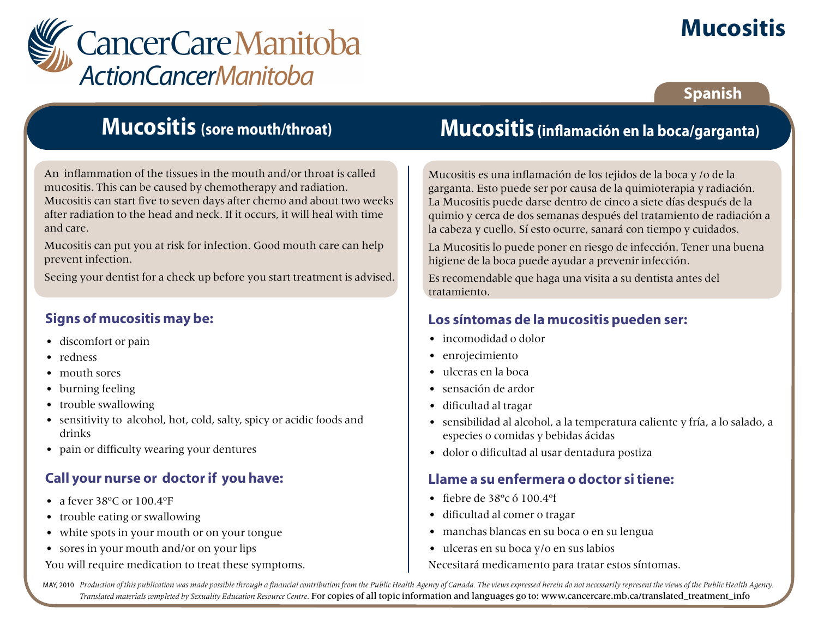

# **Mucositis**

### **Spanish**

### **Mucositis (sore mouth/throat)**

An inflammation of the tissues in the mouth and/or throat is called mucositis. This can be caused by chemotherapy and radiation. Mucositis can start five to seven days after chemo and about two weeks after radiation to the head and neck. If it occurs, it will heal with time and care.

Mucositis can put you at risk for infection. Good mouth care can help prevent infection.

Seeing your dentist for a check up before you start treatment is advised.

### **Signs of mucositis may be:**

- discomfort or pain
- redness
- mouth sores
- burning feeling
- trouble swallowing
- sensitivity to alcohol, hot, cold, salty, spicy or acidic foods and drinks
- pain or difficulty wearing your dentures

### **Call your nurse or doctor if you have:**

- a fever  $38^{\circ}$ C or  $100.4^{\circ}$ F
- trouble eating or swallowing
- white spots in your mouth or on your tongue
- sores in your mouth and/or on your lips

You will require medication to treat these symptoms.

# **Mucositis (inflamación en la boca/garganta)**

Mucositis es una inflamación de los tejidos de la boca y /o de la garganta. Esto puede ser por causa de la quimioterapia y radiación. La Mucositis puede darse dentro de cinco a siete días después de la quimio y cerca de dos semanas después del tratamiento de radiación a la cabeza y cuello. Sí esto ocurre, sanará con tiempo y cuidados.

La Mucositis lo puede poner en riesgo de infección. Tener una buena higiene de la boca puede ayudar a prevenir infección.

Es recomendable que haga una visita a su dentista antes del tratamiento.

#### **Los síntomas de la mucositis pueden ser:**

- incomodidad o dolor
- enrojecimiento
- ulceras en la boca
- sensación de ardor
- dificultad al tragar
- sensibilidad al alcohol, a la temperatura caliente y fría, a lo salado, a especies o comidas y bebidas ácidas
- dolor o dificultad al usar dentadura postiza

#### **Llame a su enfermera o doctor si tiene:**

- fiebre de 38ºc ó 100.4ºf
- dificultad al comer o tragar
- manchas blancas en su boca o en su lengua
- • ulceras en su boca y/o en sus labios

Necesitará medicamento para tratar estos síntomas.

MAY, 2010 Production of this publication was made possible through a financial contribution from the Public Health Agency of Canada. The views expressed herein do not necessarily represent the views of the Public Health Ag *Translated materials completed by Sexuality Education Resource Centre.* For copies of all topic information and languages go to: www.cancercare.mb.ca/translated\_treatment\_info